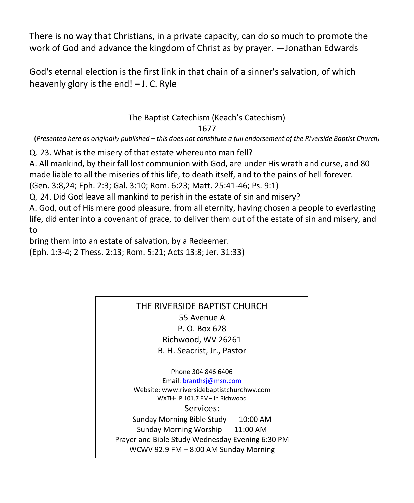There is no way that Christians, in a private capacity, can do so much to promote the work of God and advance the kingdom of Christ as by prayer. —Jonathan Edwards

God's eternal election is the first link in that chain of a sinner's salvation, of which heavenly glory is the end! – J. C. Ryle

## The Baptist Catechism (Keach's Catechism) 1677

(*Presented here as originally published – this does not constitute a full endorsement of the Riverside Baptist Church)*

Q. 23. What is the misery of that estate whereunto man fell?

A. All mankind, by their fall lost communion with God, are under His wrath and curse, and 80 made liable to all the miseries of this life, to death itself, and to the pains of hell forever.

(Gen. 3:8,24; Eph. 2:3; Gal. 3:10; Rom. 6:23; Matt. 25:41-46; Ps. 9:1)

Q. 24. Did God leave all mankind to perish in the estate of sin and misery?

A. God, out of His mere good pleasure, from all eternity, having chosen a people to everlasting life, did enter into a covenant of grace, to deliver them out of the estate of sin and misery, and to

bring them into an estate of salvation, by a Redeemer.

(Eph. 1:3-4; 2 Thess. 2:13; Rom. 5:21; Acts 13:8; Jer. 31:33)

## THE RIVERSIDE BAPTIST CHURCH 55 Avenue A P. O. Box 628 Richwood, WV 26261 B. H. Seacrist, Jr., Pastor

Phone 304 846 6406 Email[: branthsj@msn.com](mailto:branthsj@msn.com) Website: www.riversidebaptistchurchwv.com WXTH-LP 101.7 FM– In Richwood Services: Sunday Morning Bible Study -- 10:00 AM Sunday Morning Worship -- 11:00 AM Prayer and Bible Study Wednesday Evening 6:30 PM WCWV 92.9 FM – 8:00 AM Sunday Morning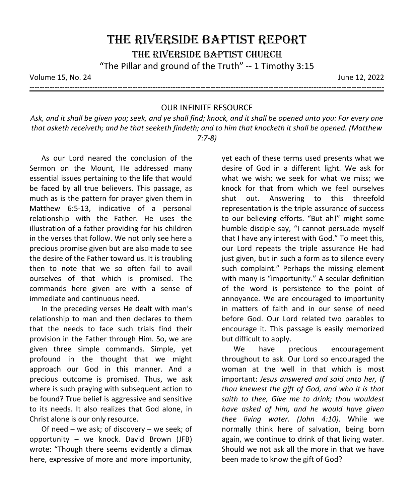Volume 15, No. 24 June 12, 2022

---------------------------------------------------------------------------------------------------------------------------------------------

## OUR INFINITE RESOURCE

*Ask, and it shall be given you; seek, and ye shall find; knock, and it shall be opened unto you: For every one that asketh receiveth; and he that seeketh findeth; and to him that knocketh it shall be opened. (Matthew 7:7-8)*

As our Lord neared the conclusion of the Sermon on the Mount, He addressed many essential issues pertaining to the life that would be faced by all true believers. This passage, as much as is the pattern for prayer given them in Matthew 6:5-13, indicative of a personal relationship with the Father. He uses the illustration of a father providing for his children in the verses that follow. We not only see here a precious promise given but are also made to see the desire of the Father toward us. It is troubling then to note that we so often fail to avail ourselves of that which is promised. The commands here given are with a sense of immediate and continuous need.

In the preceding verses He dealt with man's relationship to man and then declares to them that the needs to face such trials find their provision in the Father through Him. So, we are given three simple commands. Simple, yet profound in the thought that we might approach our God in this manner. And a precious outcome is promised. Thus, we ask where is such praying with subsequent action to be found? True belief is aggressive and sensitive to its needs. It also realizes that God alone, in Christ alone is our only resource.

Of need – we ask; of discovery – we seek; of opportunity – we knock. David Brown (JFB) wrote: "Though there seems evidently a climax here, expressive of more and more importunity,

yet each of these terms used presents what we desire of God in a different light. We ask for what we wish; we seek for what we miss; we knock for that from which we feel ourselves shut out. Answering to this threefold representation is the triple assurance of success to our believing efforts. "But ah!" might some humble disciple say, "I cannot persuade myself that I have any interest with God." To meet this, our Lord repeats the triple assurance He had just given, but in such a form as to silence every such complaint." Perhaps the missing element with many is "importunity." A secular definition of the word is persistence to the point of annoyance. We are encouraged to importunity in matters of faith and in our sense of need before God. Our Lord related two parables to encourage it. This passage is easily memorized but difficult to apply.

We have precious encouragement throughout to ask. Our Lord so encouraged the woman at the well in that which is most important: *Jesus answered and said unto her, If thou knewest the gift of God, and who it is that saith to thee, Give me to drink; thou wouldest have asked of him, and he would have given thee living water. (John 4:10)*. While we normally think here of salvation, being born again, we continue to drink of that living water. Should we not ask all the more in that we have been made to know the gift of God?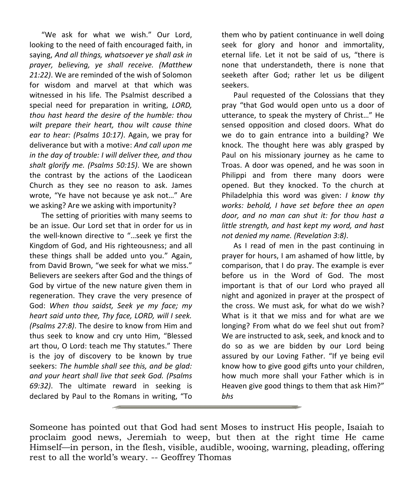"We ask for what we wish." Our Lord, looking to the need of faith encouraged faith, in saying, *And all things, whatsoever ye shall ask in prayer, believing, ye shall receive. (Matthew 21:22)*. We are reminded of the wish of Solomon for wisdom and marvel at that which was witnessed in his life. The Psalmist described a special need for preparation in writing, *LORD, thou hast heard the desire of the humble: thou wilt prepare their heart, thou wilt cause thine ear to hear: (Psalms 10:17)*. Again, we pray for deliverance but with a motive: *And call upon me in the day of trouble: I will deliver thee, and thou shalt glorify me. (Psalms 50:15)*. We are shown the contrast by the actions of the Laodicean Church as they see no reason to ask. James wrote, "Ye have not because ye ask not…" Are we asking? Are we asking with importunity?

The setting of priorities with many seems to be an issue. Our Lord set that in order for us in the well-known directive to "…seek ye first the Kingdom of God, and His righteousness; and all these things shall be added unto you." Again, from David Brown, "we seek for what we miss." Believers are seekers after God and the things of God by virtue of the new nature given them in regeneration. They crave the very presence of God: *When thou saidst, Seek ye my face; my heart said unto thee, Thy face, LORD, will I seek. (Psalms 27:8)*. The desire to know from Him and thus seek to know and cry unto Him, "Blessed art thou, O Lord: teach me Thy statutes." There is the joy of discovery to be known by true seekers: *The humble shall see this, and be glad: and your heart shall live that seek God. (Psalms 69:32)*. The ultimate reward in seeking is declared by Paul to the Romans in writing, "To

them who by patient continuance in well doing seek for glory and honor and immortality, eternal life. Let it not be said of us, "there is none that understandeth, there is none that seeketh after God; rather let us be diligent seekers.

Paul requested of the Colossians that they pray "that God would open unto us a door of utterance, to speak the mystery of Christ…" He sensed opposition and closed doors. What do we do to gain entrance into a building? We knock. The thought here was ably grasped by Paul on his missionary journey as he came to Troas. A door was opened, and he was soon in Philippi and from there many doors were opened. But they knocked. To the church at Philadelphia this word was given: *I know thy works: behold, I have set before thee an open door, and no man can shut it: for thou hast a little strength, and hast kept my word, and hast not denied my name. (Revelation 3:8)*.

As I read of men in the past continuing in prayer for hours, I am ashamed of how little, by comparison, that I do pray. The example is ever before us in the Word of God. The most important is that of our Lord who prayed all night and agonized in prayer at the prospect of the cross. We must ask, for what do we wish? What is it that we miss and for what are we longing? From what do we feel shut out from? We are instructed to ask, seek, and knock and to do so as we are bidden by our Lord being assured by our Loving Father. "If ye being evil know how to give good gifts unto your children, how much more shall your Father which is in Heaven give good things to them that ask Him?" *bhs*

Someone has pointed out that God had sent Moses to instruct His people, Isaiah to proclaim good news, Jeremiah to weep, but then at the right time He came Himself—in person, in the flesh, visible, audible, wooing, warning, pleading, offering rest to all the world's weary. -- Geoffrey Thomas